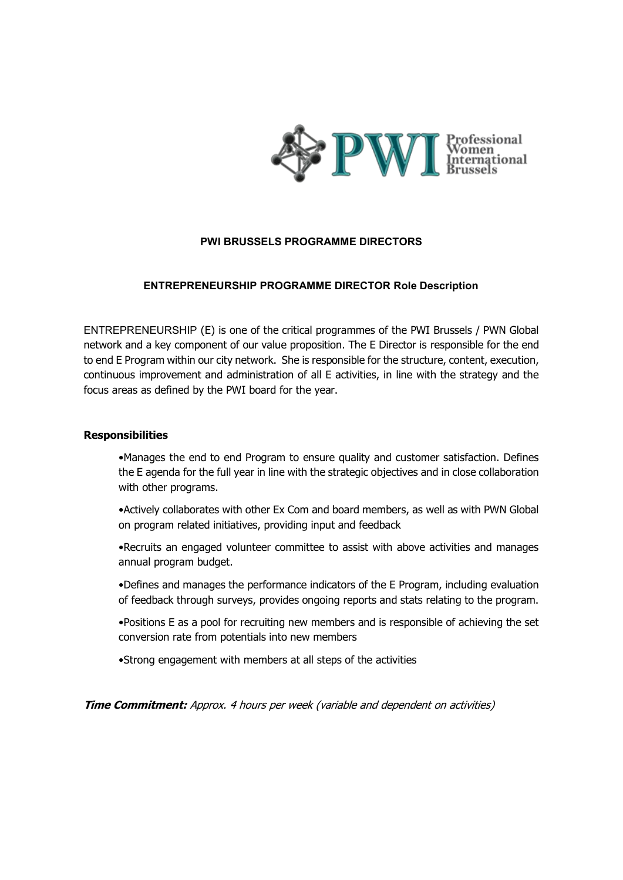

## **PWI BRUSSELS PROGRAMME DIRECTORS**

## **ENTREPRENEURSHIP PROGRAMME DIRECTOR Role Description**

ENTREPRENEURSHIP (E) is one of the critical programmes of the PWI Brussels / PWN Global network and a key component of our value proposition. The E Director is responsible for the end to end E Program within our city network. She is responsible for the structure, content, execution, continuous improvement and administration of all E activities, in line with the strategy and the focus areas as defined by the PWI board for the year.

### **Responsibilities**

•Manages the end to end Program to ensure quality and customer satisfaction. Defines the E agenda for the full year in line with the strategic objectives and in close collaboration with other programs.

•Actively collaborates with other Ex Com and board members, as well as with PWN Global on program related initiatives, providing input and feedback

•Recruits an engaged volunteer committee to assist with above activities and manages annual program budget.

•Defines and manages the performance indicators of the E Program, including evaluation of feedback through surveys, provides ongoing reports and stats relating to the program.

•Positions E as a pool for recruiting new members and is responsible of achieving the set conversion rate from potentials into new members

•Strong engagement with members at all steps of the activities

**Time Commitment:** Approx. 4 hours per week (variable and dependent on activities)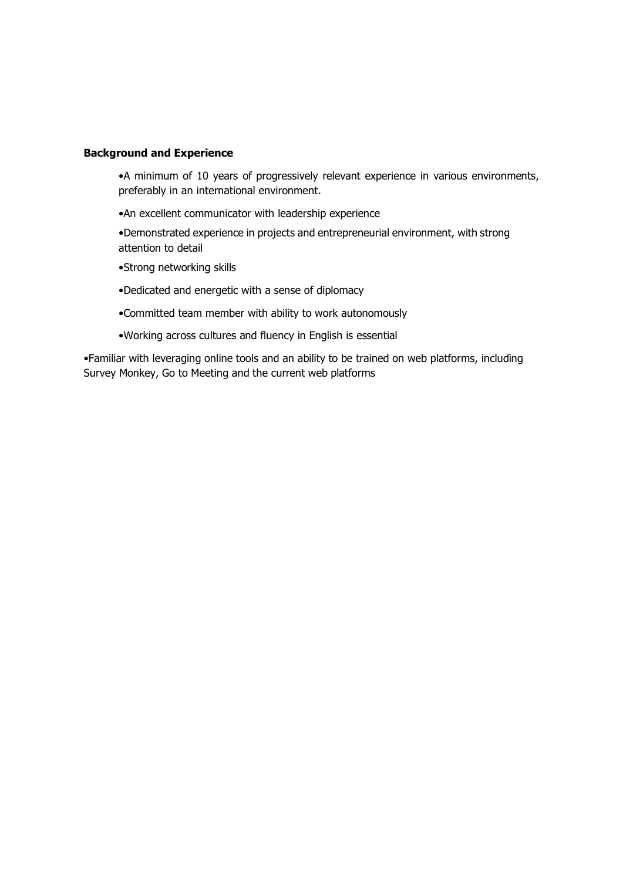#### **Background and Experience**

•A minimum of 10 years of progressively relevant experience in various environments, preferably in an international environment.

- •An excellent communicator with leadership experience
- •Demonstrated experience in projects and entrepreneurial environment, with strong attention to detail
- •Strong networking skills
- •Dedicated and energetic with a sense of diplomacy
- •Committed team member with ability to work autonomously
- •Working across cultures and fluency in English is essential

•Familiar with leveraging online tools and an ability to be trained on web platforms, including Survey Monkey, Go to Meeting and the current web platforms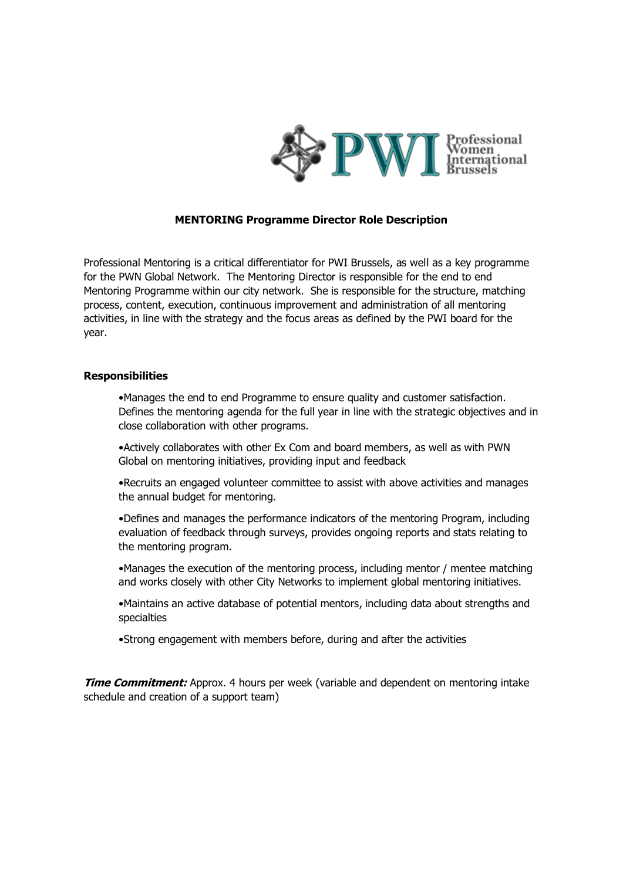

# **MENTORING Programme Director Role Description**

Professional Mentoring is a critical differentiator for PWI Brussels, as well as a key programme for the PWN Global Network. The Mentoring Director is responsible for the end to end Mentoring Programme within our city network. She is responsible for the structure, matching process, content, execution, continuous improvement and administration of all mentoring activities, in line with the strategy and the focus areas as defined by the PWI board for the year.

#### **Responsibilities**

•Manages the end to end Programme to ensure quality and customer satisfaction. Defines the mentoring agenda for the full year in line with the strategic objectives and in close collaboration with other programs.

•Actively collaborates with other Ex Com and board members, as well as with PWN Global on mentoring initiatives, providing input and feedback

•Recruits an engaged volunteer committee to assist with above activities and manages the annual budget for mentoring.

•Defines and manages the performance indicators of the mentoring Program, including evaluation of feedback through surveys, provides ongoing reports and stats relating to the mentoring program.

•Manages the execution of the mentoring process, including mentor / mentee matching and works closely with other City Networks to implement global mentoring initiatives.

•Maintains an active database of potential mentors, including data about strengths and specialties

•Strong engagement with members before, during and after the activities

**Time Commitment:** Approx. 4 hours per week (variable and dependent on mentoring intake schedule and creation of a support team)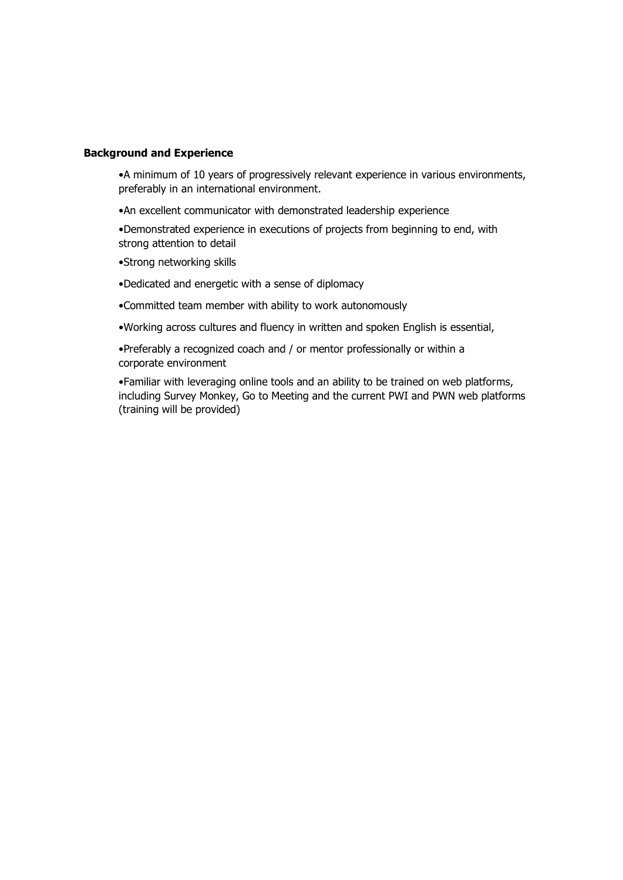#### **Background and Experience**

•A minimum of 10 years of progressively relevant experience in various environments, preferably in an international environment.

•An excellent communicator with demonstrated leadership experience

•Demonstrated experience in executions of projects from beginning to end, with strong attention to detail

- •Strong networking skills
- •Dedicated and energetic with a sense of diplomacy
- •Committed team member with ability to work autonomously
- •Working across cultures and fluency in written and spoken English is essential,
- •Preferably a recognized coach and / or mentor professionally or within a corporate environment

•Familiar with leveraging online tools and an ability to be trained on web platforms, including Survey Monkey, Go to Meeting and the current PWI and PWN web platforms (training will be provided)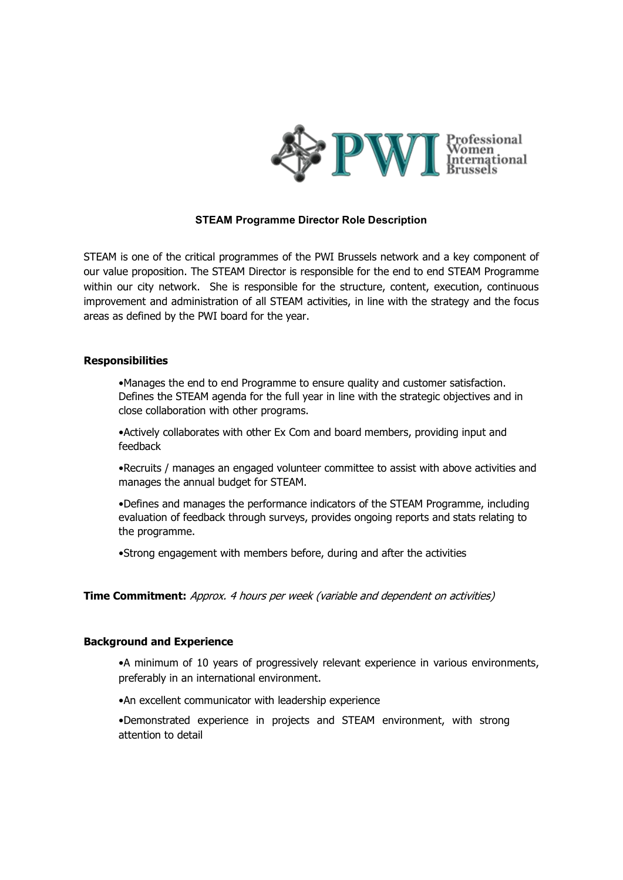

## **STEAM Programme Director Role Description**

STEAM is one of the critical programmes of the PWI Brussels network and a key component of our value proposition. The STEAM Director is responsible for the end to end STEAM Programme within our city network. She is responsible for the structure, content, execution, continuous improvement and administration of all STEAM activities, in line with the strategy and the focus areas as defined by the PWI board for the year.

#### **Responsibilities**

•Manages the end to end Programme to ensure quality and customer satisfaction. Defines the STEAM agenda for the full year in line with the strategic objectives and in close collaboration with other programs.

•Actively collaborates with other Ex Com and board members, providing input and feedback

•Recruits / manages an engaged volunteer committee to assist with above activities and manages the annual budget for STEAM.

•Defines and manages the performance indicators of the STEAM Programme, including evaluation of feedback through surveys, provides ongoing reports and stats relating to the programme.

•Strong engagement with members before, during and after the activities

## **Time Commitment:** Approx. 4 hours per week (variable and dependent on activities)

#### **Background and Experience**

•A minimum of 10 years of progressively relevant experience in various environments, preferably in an international environment.

•An excellent communicator with leadership experience

•Demonstrated experience in projects and STEAM environment, with strong attention to detail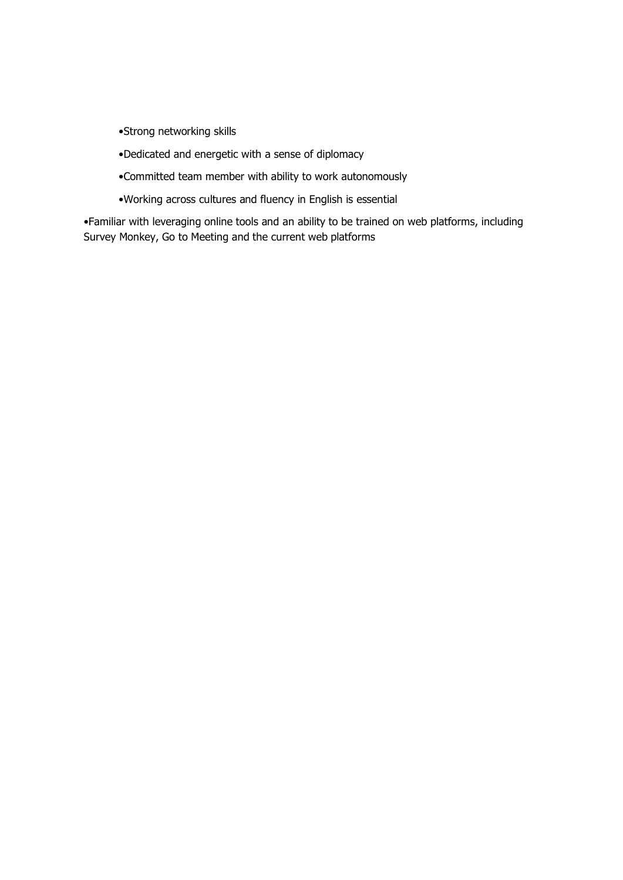- •Strong networking skills
- •Dedicated and energetic with a sense of diplomacy
- •Committed team member with ability to work autonomously
- •Working across cultures and fluency in English is essential

•Familiar with leveraging online tools and an ability to be trained on web platforms, including Survey Monkey, Go to Meeting and the current web platforms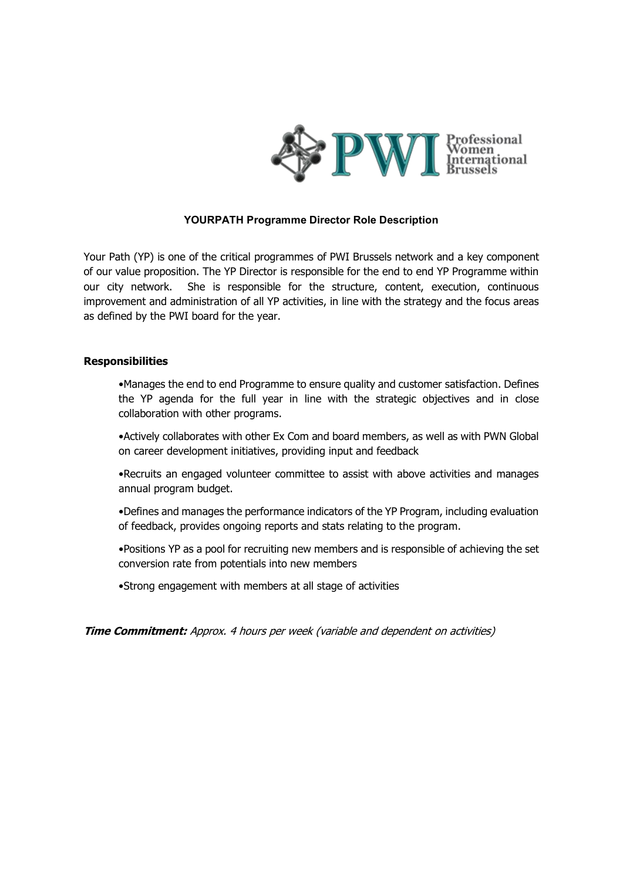

## **YOURPATH Programme Director Role Description**

Your Path (YP) is one of the critical programmes of PWI Brussels network and a key component of our value proposition. The YP Director is responsible for the end to end YP Programme within our city network. She is responsible for the structure, content, execution, continuous improvement and administration of all YP activities, in line with the strategy and the focus areas as defined by the PWI board for the year.

## **Responsibilities**

•Manages the end to end Programme to ensure quality and customer satisfaction. Defines the YP agenda for the full year in line with the strategic objectives and in close collaboration with other programs.

•Actively collaborates with other Ex Com and board members, as well as with PWN Global on career development initiatives, providing input and feedback

•Recruits an engaged volunteer committee to assist with above activities and manages annual program budget.

•Defines and manages the performance indicators of the YP Program, including evaluation of feedback, provides ongoing reports and stats relating to the program.

•Positions YP as a pool for recruiting new members and is responsible of achieving the set conversion rate from potentials into new members

•Strong engagement with members at all stage of activities

**Time Commitment:** Approx. 4 hours per week (variable and dependent on activities)